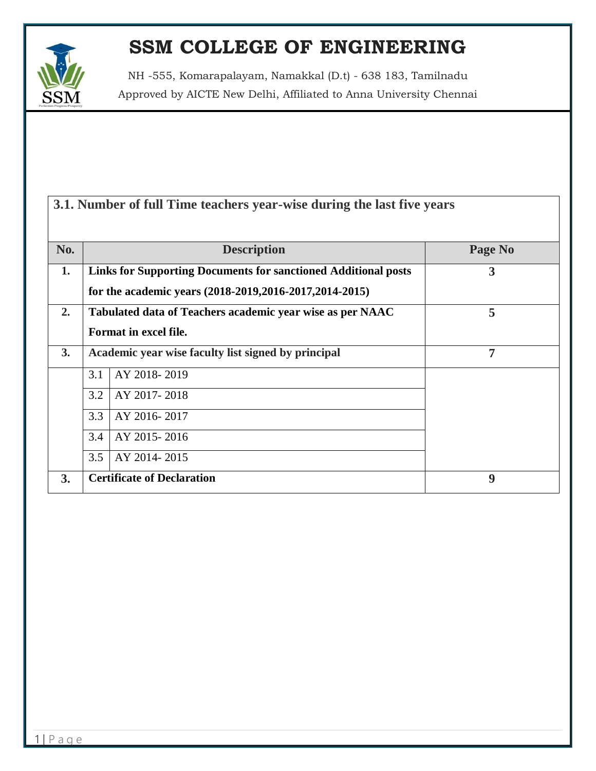

NH -555, Komarapalayam, Namakkal (D.t) - 638 183, Tamilnadu Approved by AICTE New Delhi, Affiliated to Anna University Chennai

| 3.1. Number of full Time teachers year-wise during the last five years |  |  |
|------------------------------------------------------------------------|--|--|
|------------------------------------------------------------------------|--|--|

| No. | <b>Description</b>                                                    | Page No |  |
|-----|-----------------------------------------------------------------------|---------|--|
| 1.  | <b>Links for Supporting Documents for sanctioned Additional posts</b> | 3       |  |
|     | for the academic years (2018-2019, 2016-2017, 2014-2015)              |         |  |
| 2.  | 5<br>Tabulated data of Teachers academic year wise as per NAAC        |         |  |
|     | Format in excel file.                                                 |         |  |
| 3.  | Academic year wise faculty list signed by principal                   | 7       |  |
|     | 3.1<br>AY 2018-2019                                                   |         |  |
|     | AY 2017-2018<br>3.2                                                   |         |  |
|     | 3.3<br>AY 2016-2017                                                   |         |  |
|     | 3.4<br>AY 2015-2016                                                   |         |  |
|     | 3.5<br>AY 2014-2015                                                   |         |  |
| 3.  | <b>Certificate of Declaration</b><br>9                                |         |  |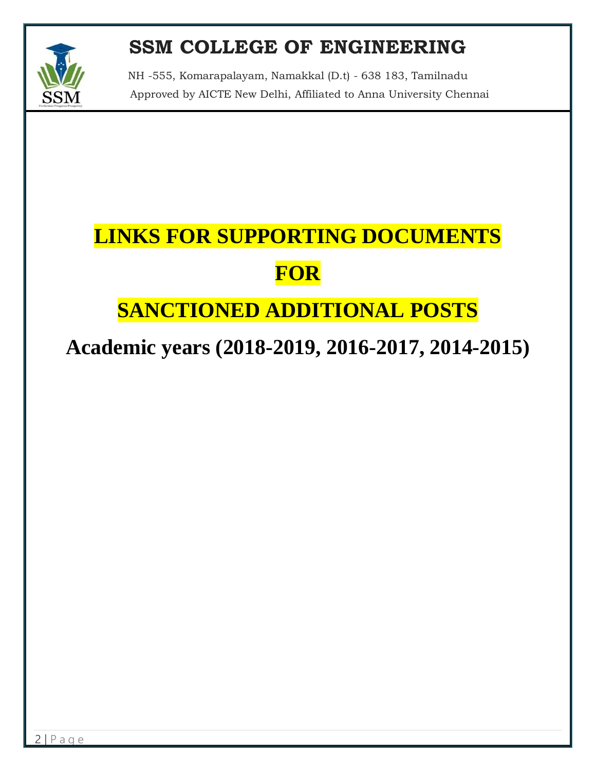

NH -555, Komarapalayam, Namakkal (D.t) - 638 183, Tamilnadu Approved by AICTE New Delhi, Affiliated to Anna University Chennai

# **LINKS FOR SUPPORTING DOCUMENTS FOR**

## **SANCTIONED ADDITIONAL POSTS**

## **Academic years (2018-2019, 2016-2017, 2014-2015)**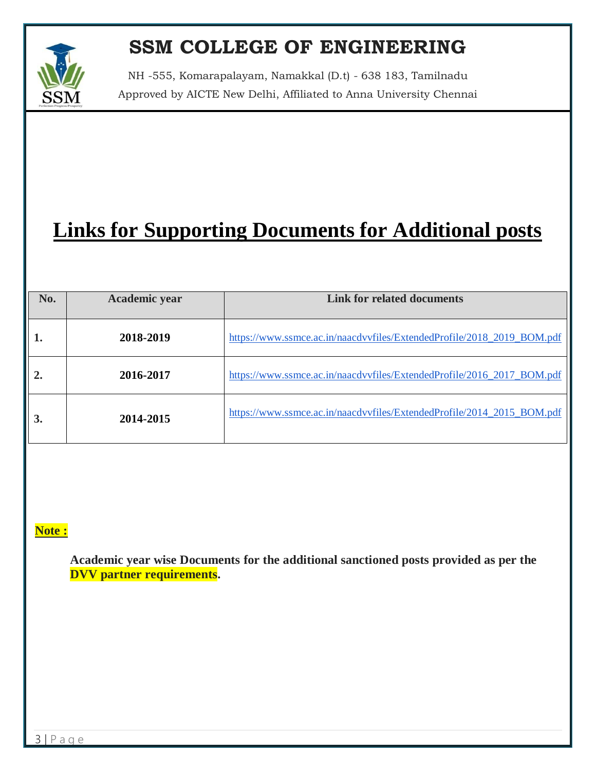

NH -555, Komarapalayam, Namakkal (D.t) - 638 183, Tamilnadu Approved by AICTE New Delhi, Affiliated to Anna University Chennai

## **Links for Supporting Documents for Additional posts**

| No.            | Academic year | <b>Link for related documents</b>                                      |
|----------------|---------------|------------------------------------------------------------------------|
| 1.             | 2018-2019     | https://www.ssmce.ac.in/naacdvvfiles/ExtendedProfile/2018_2019_BOM.pdf |
| $\overline{2}$ | 2016-2017     | https://www.ssmce.ac.in/naacdvvfiles/ExtendedProfile/2016_2017_BOM.pdf |
| 3.             | 2014-2015     | https://www.ssmce.ac.in/naacdvvfiles/ExtendedProfile/2014 2015 BOM.pdf |

#### **Note :**

**Academic year wise Documents for the additional sanctioned posts provided as per the DVV partner requirements.**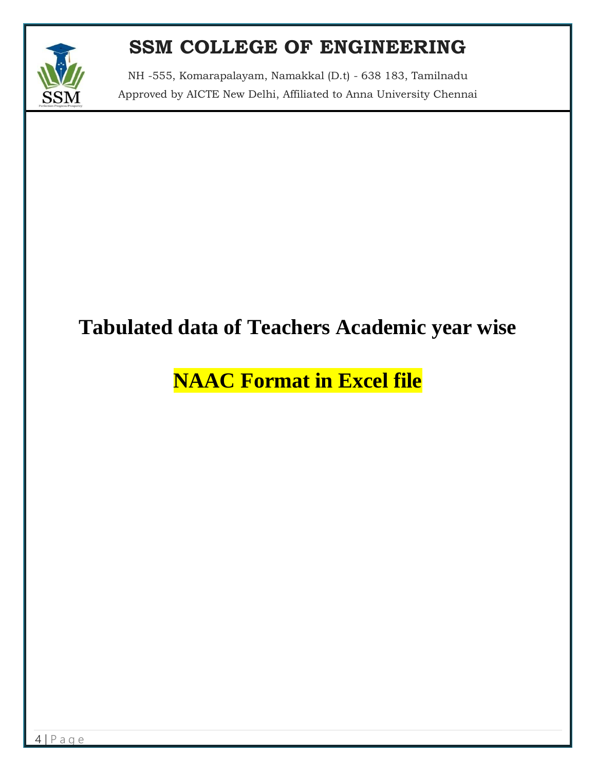

NH -555, Komarapalayam, Namakkal (D.t) - 638 183, Tamilnadu Approved by AICTE New Delhi, Affiliated to Anna University Chennai

## **Tabulated data of Teachers Academic year wise**

## **NAAC Format in Excel file**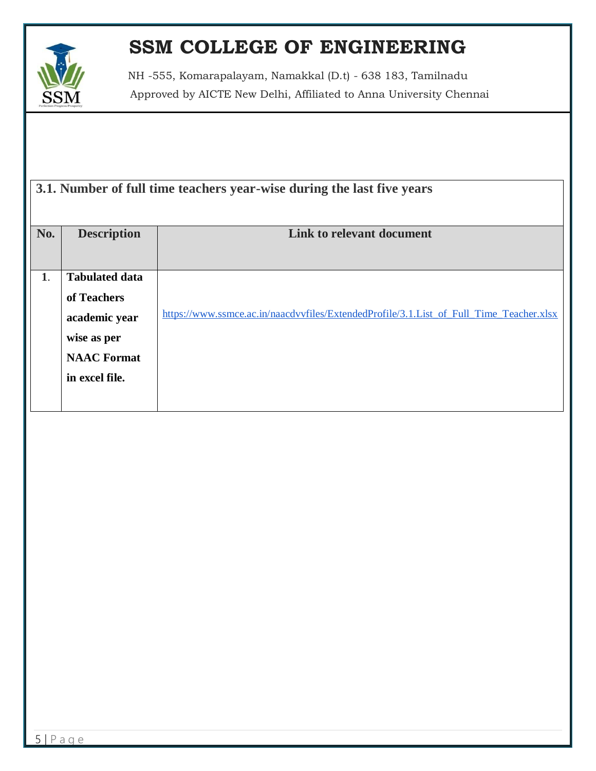

NH -555, Komarapalayam, Namakkal (D.t) - 638 183, Tamilnadu Approved by AICTE New Delhi, Affiliated to Anna University Chennai

| 3.1. Number of full time teachers year-wise during the last five years |                       |                                                                                         |  |
|------------------------------------------------------------------------|-----------------------|-----------------------------------------------------------------------------------------|--|
|                                                                        |                       |                                                                                         |  |
| No.                                                                    | <b>Description</b>    | Link to relevant document                                                               |  |
|                                                                        |                       |                                                                                         |  |
| 1.                                                                     | <b>Tabulated data</b> |                                                                                         |  |
|                                                                        | of Teachers           |                                                                                         |  |
|                                                                        | academic year         | https://www.ssmce.ac.in/naacdvvfiles/ExtendedProfile/3.1.List_of_Full_Time_Teacher.xlsx |  |
|                                                                        | wise as per           |                                                                                         |  |
|                                                                        | <b>NAAC</b> Format    |                                                                                         |  |
|                                                                        | in excel file.        |                                                                                         |  |
|                                                                        |                       |                                                                                         |  |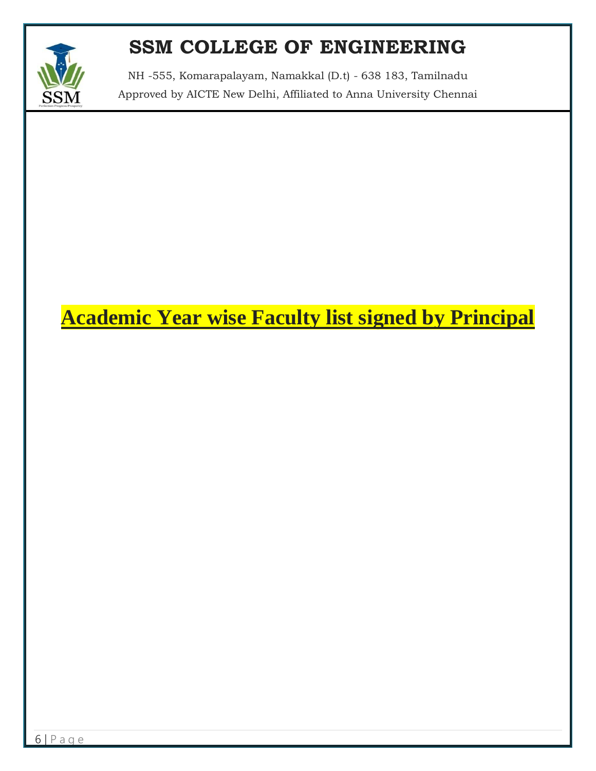

NH -555, Komarapalayam, Namakkal (D.t) - 638 183, Tamilnadu Approved by AICTE New Delhi, Affiliated to Anna University Chennai

## **Academic Year wise Faculty list signed by Principal**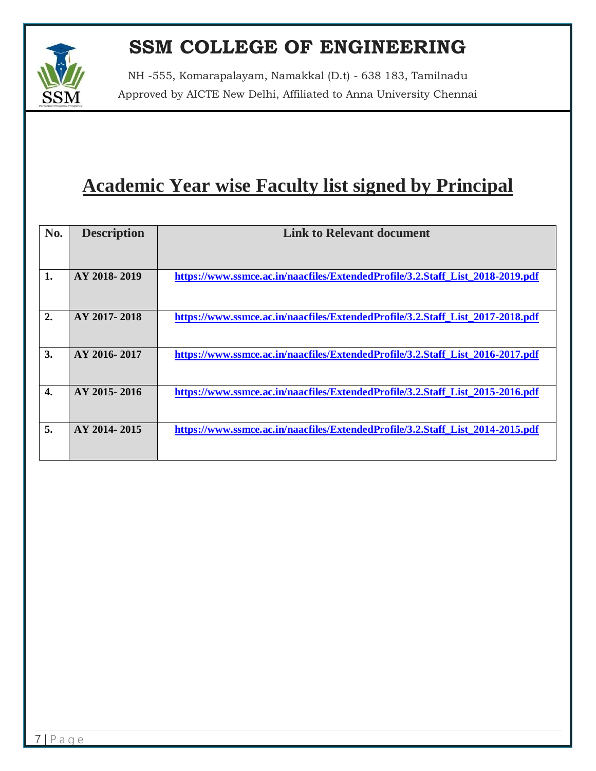NH -555, Komarapalayam, Namakkal (D.t) - 638 183, Tamilnadu Approved by AICTE New Delhi, Affiliated to Anna University Chennai

## **Academic Year wise Faculty list signed by Principal**

| No.              | <b>Description</b> | <b>Link to Relevant document</b>                                               |
|------------------|--------------------|--------------------------------------------------------------------------------|
|                  |                    |                                                                                |
|                  |                    |                                                                                |
|                  |                    |                                                                                |
| 1.               | AY 2018-2019       | https://www.ssmce.ac.in/naacfiles/ExtendedProfile/3.2.Staff_List_2018-2019.pdf |
|                  |                    |                                                                                |
|                  |                    |                                                                                |
| 2.               | AY 2017-2018       | https://www.ssmce.ac.in/naacfiles/ExtendedProfile/3.2.Staff List 2017-2018.pdf |
|                  |                    |                                                                                |
|                  |                    |                                                                                |
| 3.               | AY 2016-2017       | https://www.ssmce.ac.in/naacfiles/ExtendedProfile/3.2.Staff List 2016-2017.pdf |
|                  |                    |                                                                                |
|                  |                    |                                                                                |
| $\overline{4}$ . | AY 2015-2016       | https://www.ssmce.ac.in/naacfiles/ExtendedProfile/3.2.Staff_List_2015-2016.pdf |
|                  |                    |                                                                                |
|                  |                    |                                                                                |
| 5.               | AY 2014-2015       | https://www.ssmce.ac.in/naacfiles/ExtendedProfile/3.2.Staff_List_2014-2015.pdf |
|                  |                    |                                                                                |
|                  |                    |                                                                                |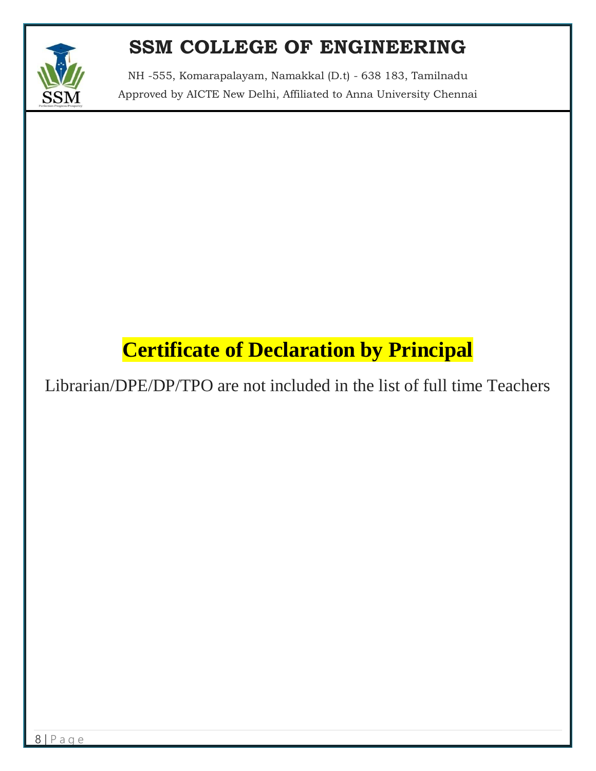

NH -555, Komarapalayam, Namakkal (D.t) - 638 183, Tamilnadu Approved by AICTE New Delhi, Affiliated to Anna University Chennai

## **Certificate of Declaration by Principal**

Librarian/DPE/DP/TPO are not included in the list of full time Teachers